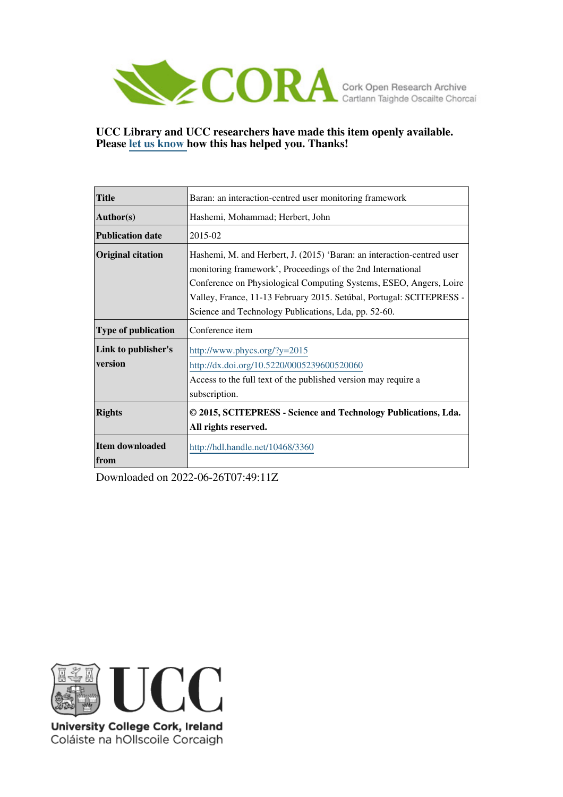

# **UCC Library and UCC researchers have made this item openly available. Please [let us know h](https://libguides.ucc.ie/openaccess/impact?suffix=3360&title=Baran: an interaction-centred user monitoring framework)ow this has helped you. Thanks!**

| <b>Title</b>                   | Baran: an interaction-centred user monitoring framework                                                                                                                                                                                                                                                                                     |  |  |  |  |  |
|--------------------------------|---------------------------------------------------------------------------------------------------------------------------------------------------------------------------------------------------------------------------------------------------------------------------------------------------------------------------------------------|--|--|--|--|--|
| <b>Author(s)</b>               | Hashemi, Mohammad; Herbert, John                                                                                                                                                                                                                                                                                                            |  |  |  |  |  |
| <b>Publication date</b>        | 2015-02                                                                                                                                                                                                                                                                                                                                     |  |  |  |  |  |
| <b>Original citation</b>       | Hashemi, M. and Herbert, J. (2015) 'Baran: an interaction-centred user<br>monitoring framework', Proceedings of the 2nd International<br>Conference on Physiological Computing Systems, ESEO, Angers, Loire<br>Valley, France, 11-13 February 2015. Setúbal, Portugal: SCITEPRESS -<br>Science and Technology Publications, Lda, pp. 52-60. |  |  |  |  |  |
| <b>Type of publication</b>     | Conference item                                                                                                                                                                                                                                                                                                                             |  |  |  |  |  |
| Link to publisher's<br>version | http://www.phycs.org/?y=2015<br>http://dx.doi.org/10.5220/0005239600520060<br>Access to the full text of the published version may require a<br>subscription.                                                                                                                                                                               |  |  |  |  |  |
| <b>Rights</b>                  | © 2015, SCITEPRESS - Science and Technology Publications, Lda.<br>All rights reserved.                                                                                                                                                                                                                                                      |  |  |  |  |  |
| Item downloaded<br>from        | http://hdl.handle.net/10468/3360                                                                                                                                                                                                                                                                                                            |  |  |  |  |  |

Downloaded on 2022-06-26T07:49:11Z



University College Cork, Ireland Coláiste na hOllscoile Corcaigh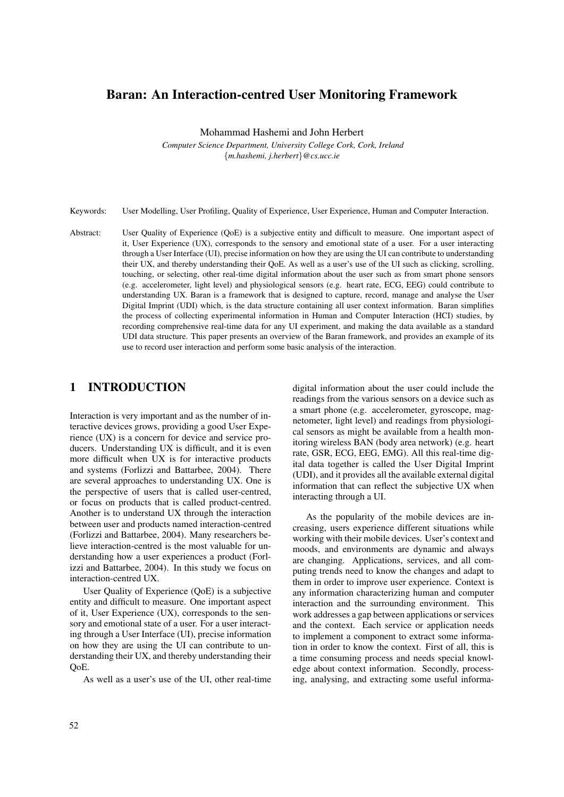# Baran: An Interaction-centred User Monitoring Framework

Mohammad Hashemi and John Herbert

*Computer Science Department, University College Cork, Cork, Ireland* {*m.hashemi, j.herbert*}*@cs.ucc.ie*

Keywords: User Modelling, User Profiling, Quality of Experience, User Experience, Human and Computer Interaction.

Abstract: User Quality of Experience (QoE) is a subjective entity and difficult to measure. One important aspect of it, User Experience (UX), corresponds to the sensory and emotional state of a user. For a user interacting through a User Interface (UI), precise information on how they are using the UI can contribute to understanding their UX, and thereby understanding their QoE. As well as a user's use of the UI such as clicking, scrolling, touching, or selecting, other real-time digital information about the user such as from smart phone sensors (e.g. accelerometer, light level) and physiological sensors (e.g. heart rate, ECG, EEG) could contribute to understanding UX. Baran is a framework that is designed to capture, record, manage and analyse the User Digital Imprint (UDI) which, is the data structure containing all user context information. Baran simplifies the process of collecting experimental information in Human and Computer Interaction (HCI) studies, by recording comprehensive real-time data for any UI experiment, and making the data available as a standard UDI data structure. This paper presents an overview of the Baran framework, and provides an example of its use to record user interaction and perform some basic analysis of the interaction.

## 1 INTRODUCTION

Interaction is very important and as the number of interactive devices grows, providing a good User Experience (UX) is a concern for device and service producers. Understanding UX is difficult, and it is even more difficult when UX is for interactive products and systems (Forlizzi and Battarbee, 2004). There are several approaches to understanding UX. One is the perspective of users that is called user-centred, or focus on products that is called product-centred. Another is to understand UX through the interaction between user and products named interaction-centred (Forlizzi and Battarbee, 2004). Many researchers believe interaction-centred is the most valuable for understanding how a user experiences a product (Forlizzi and Battarbee, 2004). In this study we focus on interaction-centred UX.

User Quality of Experience (QoE) is a subjective entity and difficult to measure. One important aspect of it, User Experience (UX), corresponds to the sensory and emotional state of a user. For a user interacting through a User Interface (UI), precise information on how they are using the UI can contribute to understanding their UX, and thereby understanding their QoE.

As well as a user's use of the UI, other real-time

digital information about the user could include the readings from the various sensors on a device such as a smart phone (e.g. accelerometer, gyroscope, magnetometer, light level) and readings from physiological sensors as might be available from a health monitoring wireless BAN (body area network) (e.g. heart rate, GSR, ECG, EEG, EMG). All this real-time digital data together is called the User Digital Imprint (UDI), and it provides all the available external digital information that can reflect the subjective UX when interacting through a UI.

As the popularity of the mobile devices are increasing, users experience different situations while working with their mobile devices. User's context and moods, and environments are dynamic and always are changing. Applications, services, and all computing trends need to know the changes and adapt to them in order to improve user experience. Context is any information characterizing human and computer interaction and the surrounding environment. This work addresses a gap between applications or services and the context. Each service or application needs to implement a component to extract some information in order to know the context. First of all, this is a time consuming process and needs special knowledge about context information. Secondly, processing, analysing, and extracting some useful informa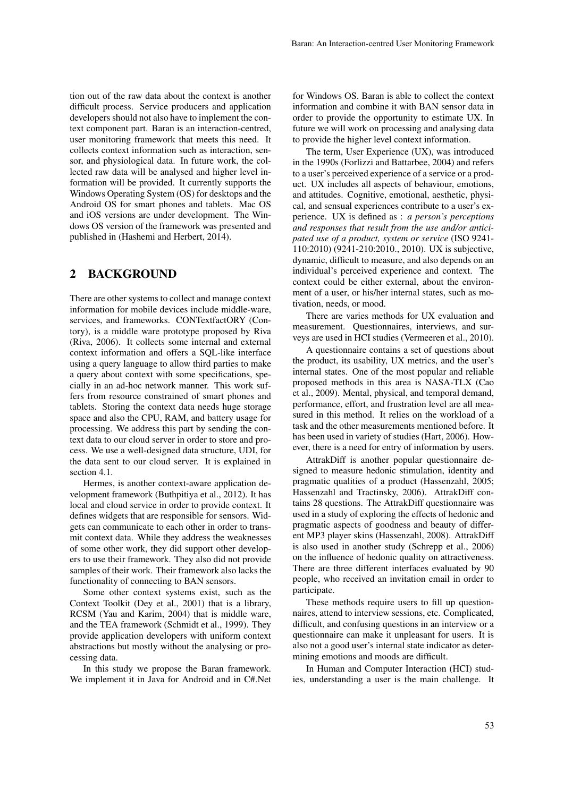tion out of the raw data about the context is another difficult process. Service producers and application developers should not also have to implement the context component part. Baran is an interaction-centred, user monitoring framework that meets this need. It collects context information such as interaction, sensor, and physiological data. In future work, the collected raw data will be analysed and higher level information will be provided. It currently supports the Windows Operating System (OS) for desktops and the Android OS for smart phones and tablets. Mac OS and iOS versions are under development. The Windows OS version of the framework was presented and published in (Hashemi and Herbert, 2014).

## 2 BACKGROUND

There are other systems to collect and manage context information for mobile devices include middle-ware, services, and frameworks. CONTextfactORY (Contory), is a middle ware prototype proposed by Riva (Riva, 2006). It collects some internal and external context information and offers a SQL-like interface using a query language to allow third parties to make a query about context with some specifications, specially in an ad-hoc network manner. This work suffers from resource constrained of smart phones and tablets. Storing the context data needs huge storage space and also the CPU, RAM, and battery usage for processing. We address this part by sending the context data to our cloud server in order to store and process. We use a well-designed data structure, UDI, for the data sent to our cloud server. It is explained in section 4.1.

Hermes, is another context-aware application development framework (Buthpitiya et al., 2012). It has local and cloud service in order to provide context. It defines widgets that are responsible for sensors. Widgets can communicate to each other in order to transmit context data. While they address the weaknesses of some other work, they did support other developers to use their framework. They also did not provide samples of their work. Their framework also lacks the functionality of connecting to BAN sensors.

Some other context systems exist, such as the Context Toolkit (Dey et al., 2001) that is a library, RCSM (Yau and Karim, 2004) that is middle ware, and the TEA framework (Schmidt et al., 1999). They provide application developers with uniform context abstractions but mostly without the analysing or processing data.

In this study we propose the Baran framework. We implement it in Java for Android and in C#.Net

for Windows OS. Baran is able to collect the context information and combine it with BAN sensor data in order to provide the opportunity to estimate UX. In future we will work on processing and analysing data to provide the higher level context information.

The term, User Experience (UX), was introduced in the 1990s (Forlizzi and Battarbee, 2004) and refers to a user's perceived experience of a service or a product. UX includes all aspects of behaviour, emotions, and attitudes. Cognitive, emotional, aesthetic, physical, and sensual experiences contribute to a user's experience. UX is defined as : *a person's perceptions and responses that result from the use and/or anticipated use of a product, system or service* (ISO 9241- 110:2010) (9241-210:2010., 2010). UX is subjective, dynamic, difficult to measure, and also depends on an individual's perceived experience and context. The context could be either external, about the environment of a user, or his/her internal states, such as motivation, needs, or mood.

There are varies methods for UX evaluation and measurement. Questionnaires, interviews, and surveys are used in HCI studies (Vermeeren et al., 2010).

A questionnaire contains a set of questions about the product, its usability, UX metrics, and the user's internal states. One of the most popular and reliable proposed methods in this area is NASA-TLX (Cao et al., 2009). Mental, physical, and temporal demand, performance, effort, and frustration level are all measured in this method. It relies on the workload of a task and the other measurements mentioned before. It has been used in variety of studies (Hart, 2006). However, there is a need for entry of information by users.

AttrakDiff is another popular questionnaire designed to measure hedonic stimulation, identity and pragmatic qualities of a product (Hassenzahl, 2005; Hassenzahl and Tractinsky, 2006). AttrakDiff contains 28 questions. The AttrakDiff questionnaire was used in a study of exploring the effects of hedonic and pragmatic aspects of goodness and beauty of different MP3 player skins (Hassenzahl, 2008). AttrakDiff is also used in another study (Schrepp et al., 2006) on the influence of hedonic quality on attractiveness. There are three different interfaces evaluated by 90 people, who received an invitation email in order to participate.

These methods require users to fill up questionnaires, attend to interview sessions, etc. Complicated, difficult, and confusing questions in an interview or a questionnaire can make it unpleasant for users. It is also not a good user's internal state indicator as determining emotions and moods are difficult.

In Human and Computer Interaction (HCI) studies, understanding a user is the main challenge. It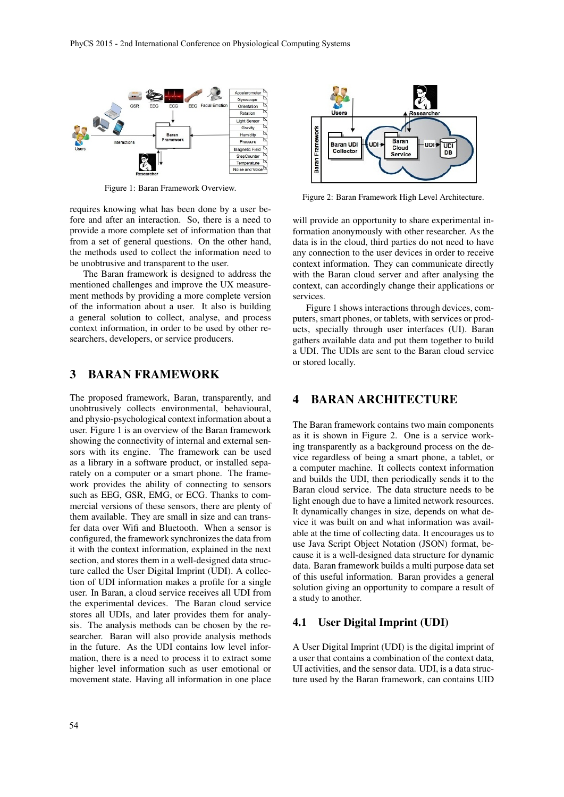

Figure 1: Baran Framework Overview.

requires knowing what has been done by a user before and after an interaction. So, there is a need to provide a more complete set of information than that from a set of general questions. On the other hand, the methods used to collect the information need to be unobtrusive and transparent to the user.

The Baran framework is designed to address the mentioned challenges and improve the UX measurement methods by providing a more complete version of the information about a user. It also is building a general solution to collect, analyse, and process context information, in order to be used by other researchers, developers, or service producers.

#### 3 BARAN FRAMEWORK

The proposed framework, Baran, transparently, and unobtrusively collects environmental, behavioural, and physio-psychological context information about a user. Figure 1 is an overview of the Baran framework showing the connectivity of internal and external sensors with its engine. The framework can be used as a library in a software product, or installed separately on a computer or a smart phone. The framework provides the ability of connecting to sensors such as EEG, GSR, EMG, or ECG. Thanks to commercial versions of these sensors, there are plenty of them available. They are small in size and can transfer data over Wifi and Bluetooth. When a sensor is configured, the framework synchronizes the data from it with the context information, explained in the next section, and stores them in a well-designed data structure called the User Digital Imprint (UDI). A collection of UDI information makes a profile for a single user. In Baran, a cloud service receives all UDI from the experimental devices. The Baran cloud service stores all UDIs, and later provides them for analysis. The analysis methods can be chosen by the researcher. Baran will also provide analysis methods in the future. As the UDI contains low level information, there is a need to process it to extract some higher level information such as user emotional or movement state. Having all information in one place



Figure 2: Baran Framework High Level Architecture.

will provide an opportunity to share experimental information anonymously with other researcher. As the data is in the cloud, third parties do not need to have any connection to the user devices in order to receive context information. They can communicate directly with the Baran cloud server and after analysing the context, can accordingly change their applications or services.

Figure 1 shows interactions through devices, computers, smart phones, or tablets, with services or products, specially through user interfaces (UI). Baran gathers available data and put them together to build a UDI. The UDIs are sent to the Baran cloud service or stored locally.

## 4 BARAN ARCHITECTURE

The Baran framework contains two main components as it is shown in Figure 2. One is a service working transparently as a background process on the device regardless of being a smart phone, a tablet, or a computer machine. It collects context information and builds the UDI, then periodically sends it to the Baran cloud service. The data structure needs to be light enough due to have a limited network resources. It dynamically changes in size, depends on what device it was built on and what information was available at the time of collecting data. It encourages us to use Java Script Object Notation (JSON) format, because it is a well-designed data structure for dynamic data. Baran framework builds a multi purpose data set of this useful information. Baran provides a general solution giving an opportunity to compare a result of a study to another.

### 4.1 User Digital Imprint (UDI)

A User Digital Imprint (UDI) is the digital imprint of a user that contains a combination of the context data, UI activities, and the sensor data. UDI, is a data structure used by the Baran framework, can contains UID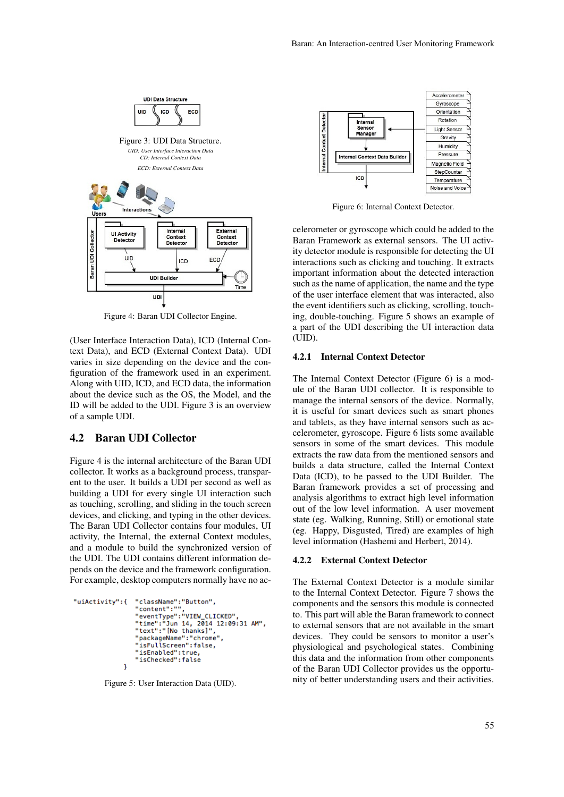

Figure 4: Baran UDI Collector Engine.

(User Interface Interaction Data), ICD (Internal Context Data), and ECD (External Context Data). UDI varies in size depending on the device and the configuration of the framework used in an experiment. Along with UID, ICD, and ECD data, the information about the device such as the OS, the Model, and the ID will be added to the UDI. Figure 3 is an overview of a sample UDI.

#### 4.2 Baran UDI Collector

Figure 4 is the internal architecture of the Baran UDI collector. It works as a background process, transparent to the user. It builds a UDI per second as well as building a UDI for every single UI interaction such as touching, scrolling, and sliding in the touch screen devices, and clicking, and typing in the other devices. The Baran UDI Collector contains four modules, UI activity, the Internal, the external Context modules, and a module to build the synchronized version of the UDI. The UDI contains different information depends on the device and the framework configuration. For example, desktop computers normally have no ac-

```
"className":"Button",<br>"content":"",
"uiActivity":{
                      "eventType":"VIEW_CLICKED"
                      "time":"Jun 14, 2014 12:09:31 AM",<br>"text":"[No thanks]".
                      "packageName":"chrome"
                       "isFullScreen":false,
                      "isEnabled":true,<br>"isChecked":false
                  j.
```
Figure 5: User Interaction Data (UID).



Figure 6: Internal Context Detector.

celerometer or gyroscope which could be added to the Baran Framework as external sensors. The UI activity detector module is responsible for detecting the UI interactions such as clicking and touching. It extracts important information about the detected interaction such as the name of application, the name and the type of the user interface element that was interacted, also the event identifiers such as clicking, scrolling, touching, double-touching. Figure 5 shows an example of a part of the UDI describing the UI interaction data (UID).

#### 4.2.1 Internal Context Detector

The Internal Context Detector (Figure 6) is a module of the Baran UDI collector. It is responsible to manage the internal sensors of the device. Normally, it is useful for smart devices such as smart phones and tablets, as they have internal sensors such as accelerometer, gyroscope. Figure 6 lists some available sensors in some of the smart devices. This module extracts the raw data from the mentioned sensors and builds a data structure, called the Internal Context Data (ICD), to be passed to the UDI Builder. The Baran framework provides a set of processing and analysis algorithms to extract high level information out of the low level information. A user movement state (eg. Walking, Running, Still) or emotional state (eg. Happy, Disgusted, Tired) are examples of high level information (Hashemi and Herbert, 2014).

#### 4.2.2 External Context Detector

The External Context Detector is a module similar to the Internal Context Detector. Figure 7 shows the components and the sensors this module is connected to. This part will able the Baran framework to connect to external sensors that are not available in the smart devices. They could be sensors to monitor a user's physiological and psychological states. Combining this data and the information from other components of the Baran UDI Collector provides us the opportunity of better understanding users and their activities.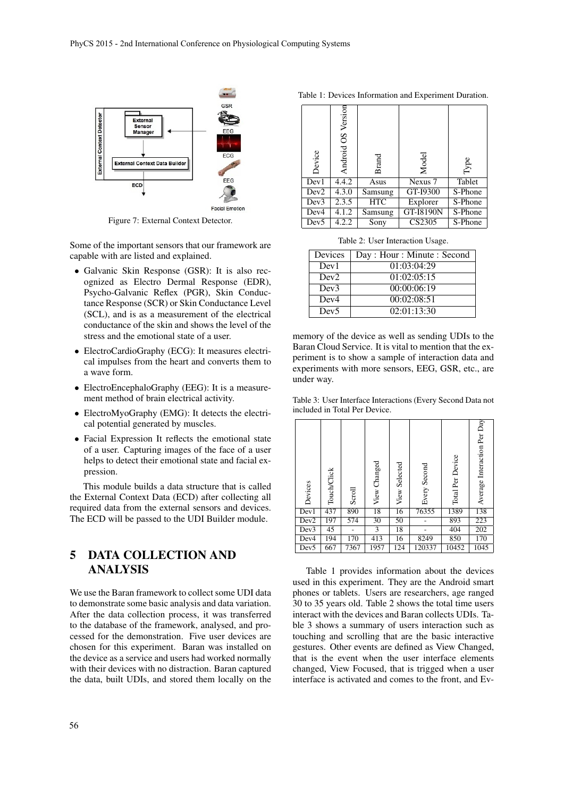

Figure 7: External Context Detector.

Some of the important sensors that our framework are capable with are listed and explained.

- Galvanic Skin Response (GSR): It is also recognized as Electro Dermal Response (EDR), Psycho-Galvanic Reflex (PGR), Skin Conductance Response (SCR) or Skin Conductance Level (SCL), and is as a measurement of the electrical conductance of the skin and shows the level of the stress and the emotional state of a user.
- ElectroCardioGraphy (ECG): It measures electrical impulses from the heart and converts them to a wave form.
- ElectroEncephaloGraphy (EEG): It is a measurement method of brain electrical activity.
- ElectroMyoGraphy (EMG): It detects the electrical potential generated by muscles.
- Facial Expression It reflects the emotional state of a user. Capturing images of the face of a user helps to detect their emotional state and facial expression.

This module builds a data structure that is called the External Context Data (ECD) after collecting all required data from the external sensors and devices. The ECD will be passed to the UDI Builder module.

# 5 DATA COLLECTION AND ANALYSIS

We use the Baran framework to collect some UDI data to demonstrate some basic analysis and data variation. After the data collection process, it was transferred to the database of the framework, analysed, and processed for the demonstration. Five user devices are chosen for this experiment. Baran was installed on the device as a service and users had worked normally with their devices with no distraction. Baran captured the data, built UDIs, and stored them locally on the

| Table 1: Devices Information and Experiment Duration. |  |  |
|-------------------------------------------------------|--|--|
|-------------------------------------------------------|--|--|

| Device           | Android OS Version | <b>Brand</b> | Model     | Type    |  |
|------------------|--------------------|--------------|-----------|---------|--|
| Dev1             | 4.4.2              | Asus         | Nexus 7   | Tablet  |  |
| Dev <sub>2</sub> | 4.3.0              | Samsung      | GT-I9300  | S-Phone |  |
| Dev3             | 2.3.5              | <b>HTC</b>   | Explorer  | S-Phone |  |
| Dev4             | 4.1.2              | Samsung      | GT-I8190N | S-Phone |  |
| Dev <sub>5</sub> | 4.2.2              | Sony         | CS2305    | S-Phone |  |

Table 2: User Interaction Usage.

| Devices          | Day: Hour: Minute: Second |
|------------------|---------------------------|
| Dev <sub>1</sub> | 01:03:04:29               |
| Dev <sub>2</sub> | 01:02:05:15               |
| Dev3             | 00:00:06:19               |
| Dev <sub>4</sub> | 00:02:08:51               |
| Dev <sub>5</sub> | 02:01:13:30               |

memory of the device as well as sending UDIs to the Baran Cloud Service. It is vital to mention that the experiment is to show a sample of interaction data and experiments with more sensors, EEG, GSR, etc., are under way.

Table 3: User Interface Interactions (Every Second Data not included in Total Per Device.

| Devices          | Touch/Click | Scroll | View Changed | View Selected | Every Second | Total Per Device | Average Interaction Per Day |
|------------------|-------------|--------|--------------|---------------|--------------|------------------|-----------------------------|
| Dev1             | 437         | 890    | 18           | 16            | 76355        | 1389             | 138                         |
| Dev <sub>2</sub> | 197         | 574    | 30           | 50            |              | 893              | 223                         |
| Dev3             | 45          |        | 3            | 18            |              | 404              | 202                         |
| Dev4             | 194         | 170    | 413          | 16            | 8249         | 850              | 170                         |
| Dev <sub>5</sub> | 667         | 7367   | 1957         | 124           | 120337       | 10452            | 1045                        |

Table 1 provides information about the devices used in this experiment. They are the Android smart phones or tablets. Users are researchers, age ranged 30 to 35 years old. Table 2 shows the total time users interact with the devices and Baran collects UDIs. Table 3 shows a summary of users interaction such as touching and scrolling that are the basic interactive gestures. Other events are defined as View Changed, that is the event when the user interface elements changed, View Focused, that is trigged when a user interface is activated and comes to the front, and Ev-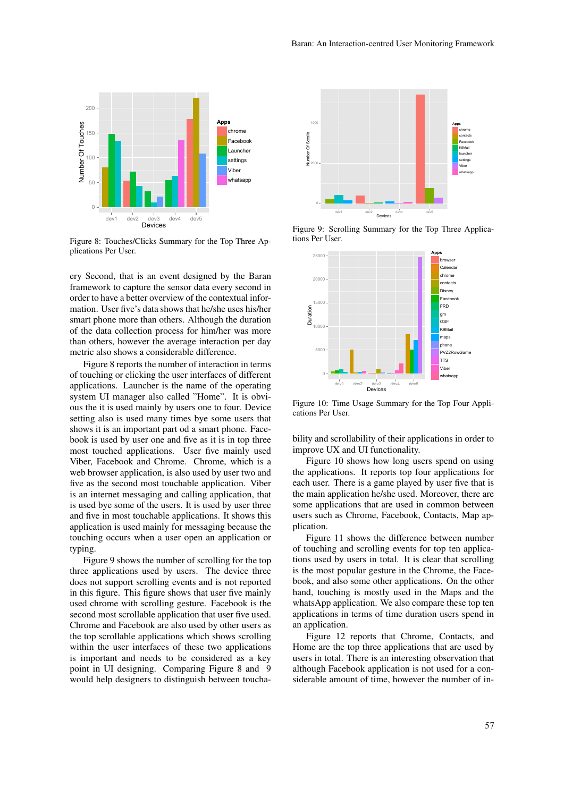

Figure 8: Touches/Clicks Summary for the Top Three Applications Per User.

ery Second, that is an event designed by the Baran framework to capture the sensor data every second in order to have a better overview of the contextual information. User five's data shows that he/she uses his/her smart phone more than others. Although the duration of the data collection process for him/her was more than others, however the average interaction per day metric also shows a considerable difference.

Figure 8 reports the number of interaction in terms of touching or clicking the user interfaces of different applications. Launcher is the name of the operating system UI manager also called "Home". It is obvious the it is used mainly by users one to four. Device setting also is used many times bye some users that shows it is an important part od a smart phone. Facebook is used by user one and five as it is in top three most touched applications. User five mainly used Viber, Facebook and Chrome. Chrome, which is a web browser application, is also used by user two and five as the second most touchable application. Viber is an internet messaging and calling application, that is used bye some of the users. It is used by user three and five in most touchable applications. It shows this application is used mainly for messaging because the touching occurs when a user open an application or typing.

Figure 9 shows the number of scrolling for the top three applications used by users. The device three does not support scrolling events and is not reported in this figure. This figure shows that user five mainly used chrome with scrolling gesture. Facebook is the second most scrollable application that user five used. Chrome and Facebook are also used by other users as the top scrollable applications which shows scrolling within the user interfaces of these two applications is important and needs to be considered as a key point in UI designing. Comparing Figure 8 and 9 would help designers to distinguish between toucha-



Figure 9: Scrolling Summary for the Top Three Applications Per User.



Figure 10: Time Usage Summary for the Top Four Applications Per User.

bility and scrollability of their applications in order to improve UX and UI functionality.

Figure 10 shows how long users spend on using the applications. It reports top four applications for each user. There is a game played by user five that is the main application he/she used. Moreover, there are some applications that are used in common between users such as Chrome, Facebook, Contacts, Map application.

Figure 11 shows the difference between number of touching and scrolling events for top ten applications used by users in total. It is clear that scrolling is the most popular gesture in the Chrome, the Facebook, and also some other applications. On the other hand, touching is mostly used in the Maps and the whatsApp application. We also compare these top ten applications in terms of time duration users spend in an application.

Figure 12 reports that Chrome, Contacts, and Home are the top three applications that are used by users in total. There is an interesting observation that although Facebook application is not used for a considerable amount of time, however the number of in-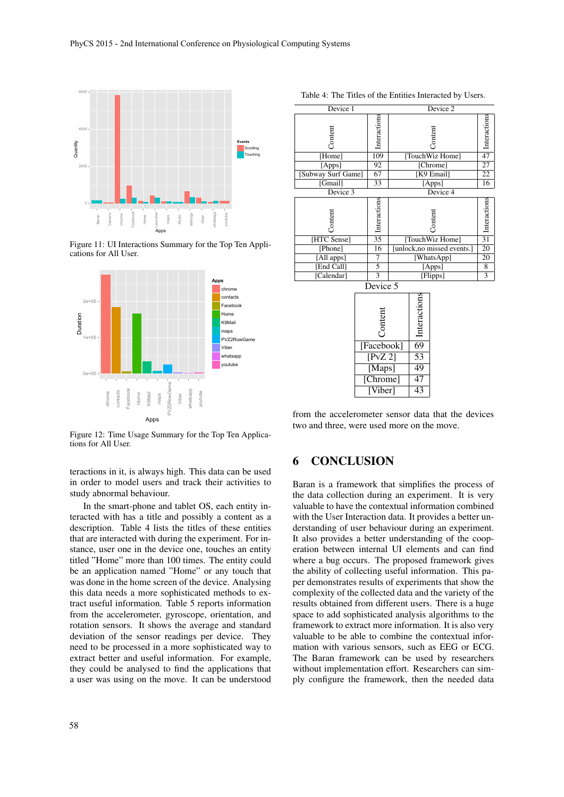

Figure 11: UI Interactions Summary for the Top Ten Applications for All User.



Figure 12: Time Usage Summary for the Top Ten Applications for All User.

teractions in it, is always high. This data can be used in order to model users and track their activities to study abnormal behaviour.

In the smart-phone and tablet OS, each entity interacted with has a title and possibly a content as a description. Table 4 lists the titles of these entities that are interacted with during the experiment. For instance, user one in the device one, touches an entity titled "Home" more than 100 times. The entity could be an application named "Home" or any touch that was done in the home screen of the device. Analysing this data needs a more sophisticated methods to extract useful information. Table 5 reports information from the accelerometer, gyroscope, orientation, and rotation sensors. It shows the average and standard deviation of the sensor readings per device. They need to be processed in a more sophisticated way to extract better and useful information. For example, they could be analysed to find the applications that a user was using on the move. It can be understood

| Device 1           |            |                            |                             | Device 2        |          |                             |
|--------------------|------------|----------------------------|-----------------------------|-----------------|----------|-----------------------------|
| Content            |            | $\frac{1}{9}$ Interactions | Content                     |                 |          | $\frac{1}{2}$ Interactions  |
| [Home]             |            |                            | [TouchWiz Home]             |                 |          |                             |
| [Apps]             |            | 92                         | [Chrome]                    |                 |          | $\overline{27}$             |
| [Subway Surf Game] |            | $\overline{67}$            | [K9 Email]                  |                 |          | $\overline{22}$             |
| [Gmail]            |            | $\overline{33}$            |                             |                 | [Apps]   | 16                          |
| Device 3           |            |                            |                             |                 | Device 4 |                             |
| Content            |            | 33<br>Interactions         | Content                     |                 |          | $\frac{20}{2}$ Interactions |
| [HTC Sense]        |            |                            | [TouchWiz Home]             |                 |          |                             |
| [Phone]            |            | $\overline{16}$            | [unlock, no missed events.] |                 |          | $\overline{20}$             |
| [All apps]         |            | 7                          | [WhatsApp]                  |                 |          | $\overline{20}$             |
| [End Call]         |            | $\overline{5}$             | [Apps]                      |                 |          | 8                           |
| [Calendar]         |            | $\overline{3}$             | [Flipps]                    |                 |          | $\overline{3}$              |
|                    | Device 5   |                            |                             |                 |          |                             |
|                    | Content    |                            |                             | Interactions    |          |                             |
|                    | [Facebook] |                            |                             | $\overline{69}$ |          |                             |
|                    | [PvZ2]     |                            |                             | 53              |          |                             |
|                    | [Maps]     |                            |                             | 49              |          |                             |
|                    | [Chrome]   |                            |                             | $\overline{47}$ |          |                             |
|                    | [Viber]    |                            |                             | $\overline{43}$ |          |                             |

Table 4: The Titles of the Entities Interacted by Users.

from the accelerometer sensor data that the devices two and three, were used more on the move.

# 6 CONCLUSION

Baran is a framework that simplifies the process of the data collection during an experiment. It is very valuable to have the contextual information combined with the User Interaction data. It provides a better understanding of user behaviour during an experiment. It also provides a better understanding of the cooperation between internal UI elements and can find where a bug occurs. The proposed framework gives the ability of collecting useful information. This paper demonstrates results of experiments that show the complexity of the collected data and the variety of the results obtained from different users. There is a huge space to add sophisticated analysis algorithms to the framework to extract more information. It is also very valuable to be able to combine the contextual information with various sensors, such as EEG or ECG. The Baran framework can be used by researchers without implementation effort. Researchers can simply configure the framework, then the needed data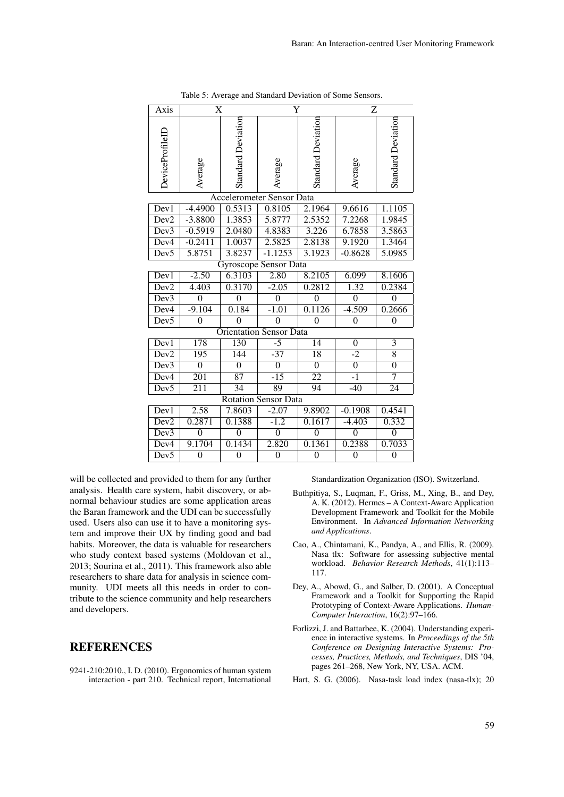| Axis                        | $\overline{\text{X}}$ |                           | Ÿ                                |                           |                  | $\overline{\mathrm{z}}$   |  |  |
|-----------------------------|-----------------------|---------------------------|----------------------------------|---------------------------|------------------|---------------------------|--|--|
| DeviceProfileLL             | Average               | <b>Standard Deviation</b> | Average                          | <b>Standard Deviation</b> | Average          | <b>Standard Deviation</b> |  |  |
|                             |                       |                           | <b>Accelerometer Sensor Data</b> |                           |                  |                           |  |  |
| Dev1                        | $-4.4900$             | 0.5313                    | 0.8105                           | 2.1964                    | 9.6616           | 1.1105                    |  |  |
| Dev <sub>2</sub>            | $-3.8800$             | 1.3853                    | 5.8777                           | 2.5352                    | 7.2268           | 1.9845                    |  |  |
| Dev3                        | $-0.5919$             | 2.0480                    | 4.8383                           | 3.226                     | 6.7858           | 3.5863                    |  |  |
| Dev <sub>4</sub>            | $-0.2411$             | 1.0037                    | 2.5825                           | 2.8138                    | 9.1920           | 1.3464                    |  |  |
| Dev <sub>5</sub>            | 5.8751                | 3.8237                    | $-1.1253$                        | 3.1923                    | $-0.8628$        | 5.0985                    |  |  |
|                             |                       |                           | Gyroscope Sensor Data            |                           |                  |                           |  |  |
| Dev1                        | $-2.50$               | 6.3103                    | 2.80                             | 8.2105                    | 6.099            | 8.1606                    |  |  |
| Dev <sub>2</sub>            | 4.403                 | 0.3170                    | $-2.05$                          | 0.2812                    | 1.32             | 0.2384                    |  |  |
| Dev <sub>3</sub>            | $\theta$              | $\mathbf{0}$              | $\overline{0}$                   | $\mathbf{0}$              | $\theta$         | $\mathbf{0}$              |  |  |
| Dev4                        | $-9.104$              | 0.184                     | $-1.01$                          | 0.1126                    | $-4.509$         | 0.2666                    |  |  |
| Dev5                        | $\mathbf{0}$          | $\theta$                  | $\theta$                         | $\mathbf{0}$              | $\overline{0}$   | $\mathbf{0}$              |  |  |
|                             |                       |                           | <b>Orientation Sensor Data</b>   |                           |                  |                           |  |  |
| Dev1                        | 178                   | 130                       | $\overline{-5}$                  | $\overline{14}$           | $\boldsymbol{0}$ | $\overline{3}$            |  |  |
| Dev <sub>2</sub>            | 195                   | 144                       | $-37$                            | 18                        | $-2$             | $\overline{8}$            |  |  |
| Dev3                        | $\overline{0}$        | $\overline{0}$            | $\overline{0}$                   | $\overline{0}$            | $\overline{0}$   | $\overline{0}$            |  |  |
| Dev4                        | $\overline{201}$      | $\overline{87}$           | $-15$                            | $\overline{22}$           | $\overline{-1}$  | $\overline{7}$            |  |  |
| Dev <sub>5</sub>            | $\overline{211}$      | 34                        | 89                               | 94                        | $-40$            | 24                        |  |  |
| <b>Rotation Sensor Data</b> |                       |                           |                                  |                           |                  |                           |  |  |
| $\overline{Dev1}$           | 2.58                  | 7.8603                    | $-2.07$                          | 9.8902                    | $-0.1908$        | 0.4541                    |  |  |
| Dev <sub>2</sub>            | 0.2871                | 0.1388                    | $-1.2$                           | 0.1617                    | $-4.403$         | 0.332                     |  |  |
| Dev3                        | $\overline{0}$        | $\overline{0}$            | $\mathbf{0}$                     | $\overline{0}$            | $\overline{0}$   | $\overline{0}$            |  |  |
| Dev <sub>4</sub>            | 9.1704                | 0.1434                    | 2.820                            | 0.1361                    | 0.2388           | 0.7033                    |  |  |
| Dev5                        | $\overline{0}$        | $\overline{0}$            | $\overline{0}$                   | $\overline{0}$            | $\overline{0}$   | $\overline{0}$            |  |  |

Table 5: Average and Standard Deviation of Some Sensors.

will be collected and provided to them for any further analysis. Health care system, habit discovery, or abnormal behaviour studies are some application areas the Baran framework and the UDI can be successfully used. Users also can use it to have a monitoring system and improve their UX by finding good and bad habits. Moreover, the data is valuable for researchers who study context based systems (Moldovan et al., 2013; Sourina et al., 2011). This framework also able researchers to share data for analysis in science community. UDI meets all this needs in order to contribute to the science community and help researchers and developers.

## **REFERENCES**

9241-210:2010., I. D. (2010). Ergonomics of human system interaction - part 210. Technical report, International Standardization Organization (ISO). Switzerland.

- Buthpitiya, S., Luqman, F., Griss, M., Xing, B., and Dey, A. K. (2012). Hermes – A Context-Aware Application Development Framework and Toolkit for the Mobile Environment. In *Advanced Information Networking and Applications*.
- Cao, A., Chintamani, K., Pandya, A., and Ellis, R. (2009). Nasa tlx: Software for assessing subjective mental workload. *Behavior Research Methods*, 41(1):113– 117.
- Dey, A., Abowd, G., and Salber, D. (2001). A Conceptual Framework and a Toolkit for Supporting the Rapid Prototyping of Context-Aware Applications. *Human-Computer Interaction*, 16(2):97–166.
- Forlizzi, J. and Battarbee, K. (2004). Understanding experience in interactive systems. In *Proceedings of the 5th Conference on Designing Interactive Systems: Processes, Practices, Methods, and Techniques*, DIS '04, pages 261–268, New York, NY, USA. ACM.
- Hart, S. G. (2006). Nasa-task load index (nasa-tlx); 20